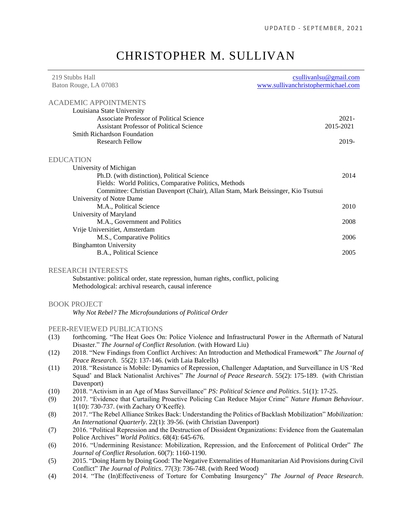# CHRISTOPHER M. SULLIVAN

| 219 Stubbs Hall                                                                  | csullivanlsu@gmail.com             |
|----------------------------------------------------------------------------------|------------------------------------|
| Baton Rouge, LA 07083                                                            | www.sullivanchristophermichael.com |
| <b>ACADEMIC APPOINTMENTS</b>                                                     |                                    |
| Louisiana State University                                                       |                                    |
| Associate Professor of Political Science                                         | $2021 -$                           |
| <b>Assistant Professor of Political Science</b>                                  | 2015-2021                          |
| <b>Smith Richardson Foundation</b>                                               |                                    |
| <b>Research Fellow</b>                                                           | 2019-                              |
| <b>EDUCATION</b>                                                                 |                                    |
| University of Michigan                                                           |                                    |
| Ph.D. (with distinction), Political Science                                      | 2014                               |
| Fields: World Politics, Comparative Politics, Methods                            |                                    |
| Committee: Christian Davenport (Chair), Allan Stam, Mark Beissinger, Kio Tsutsui |                                    |
| University of Notre Dame                                                         |                                    |
| M.A., Political Science                                                          | 2010                               |
| University of Maryland                                                           |                                    |
| M.A., Government and Politics                                                    | 2008                               |
| Vrije Universitiet, Amsterdam                                                    |                                    |
| M.S., Comparative Politics                                                       | 2006                               |
| <b>Binghamton University</b>                                                     |                                    |
| B.A., Political Science                                                          | 2005                               |
| <b>RESEARCH INTERESTS</b>                                                        |                                    |
| Substantive: political order, state repression, human rights, conflict, policing |                                    |
| Methodological: archival research, causal inference                              |                                    |
| <b>BOOK PROJECT</b>                                                              |                                    |
| Why Not Rebel? The Microfoundations of Political Order                           |                                    |
| PEER-REVIEWED PUBLICATIONS                                                       |                                    |

#### (13) forthcoming. "The Heat Goes On: Police Violence and Infrastructural Power in the Aftermath of Natural Disaster." *The Journal of Conflict Resolution.* (with Howard Liu)

- (12) 2018. "New Findings from Conflict Archives: An Introduction and Methodical Framework" *The Journal of Peace Research*. 55(2): 137-146. (with Laia Balcells)
- (11) 2018. "Resistance is Mobile: Dynamics of Repression, Challenger Adaptation, and Surveillance in US 'Red Squad' and Black Nationalist Archives" *The Journal of Peace Research*. 55(2): 175-189. (with Christian Davenport)
- (10) 2018. "Activism in an Age of Mass Surveillance" *PS: Political Science and Politics*. 51(1): 17-25.
- (9) 2017. "Evidence that Curtailing Proactive Policing Can Reduce Major Crime" *Nature Human Behaviour*. 1(10): 730-737. (with Zachary O'Keeffe).
- (8) 2017. "The Rebel Alliance Strikes Back: Understanding the Politics of Backlash Mobilization" *Mobilization: An International Quarterly*. 22(1): 39-56. (with Christian Davenport)
- (7) 2016. "Political Repression and the Destruction of Dissident Organizations: Evidence from the Guatemalan Police Archives" *World Politics*. 68(4): 645-676.
- (6) 2016. "Undermining Resistance: Mobilization, Repression, and the Enforcement of Political Order" *The Journal of Conflict Resolution*. 60(7): 1160-1190.
- (5) 2015. "Doing Harm by Doing Good: The Negative Externalities of Humanitarian Aid Provisions during Civil Conflict" *The Journal of Politics*. 77(3): 736-748. (with Reed Wood)
- (4) 2014. "The (In)Effectiveness of Torture for Combating Insurgency" *The Journal of Peace Research*.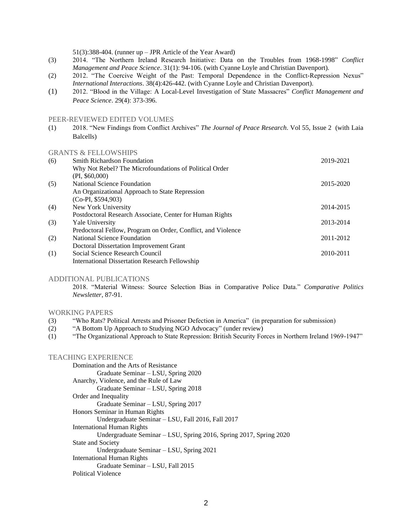51(3):388-404. (runner up – JPR Article of the Year Award)

- (3) 2014. "The Northern Ireland Research Initiative: Data on the Troubles from 1968-1998" *Conflict Management and Peace Science*. 31(1): 94-106. (with Cyanne Loyle and Christian Davenport).
- (2) 2012. "The Coercive Weight of the Past: Temporal Dependence in the Conflict-Repression Nexus" *International Interactions*. 38(4):426-442. (with Cyanne Loyle and Christian Davenport).
- (1) 2012. "Blood in the Village: A Local-Level Investigation of State Massacres" *Conflict Management and Peace Science*. 29(4): 373-396.

#### PEER-REVIEWED EDITED VOLUMES

(1) 2018. "New Findings from Conflict Archives" *The Journal of Peace Research*. Vol 55, Issue 2 (with Laia Balcells)

#### GRANTS & FELLOWSHIPS

| (6) | <b>Smith Richardson Foundation</b>                           | 2019-2021 |
|-----|--------------------------------------------------------------|-----------|
|     | Why Not Rebel? The Microfoundations of Political Order       |           |
|     | $(PI, \$60,000)$                                             |           |
| (5) | National Science Foundation                                  | 2015-2020 |
|     | An Organizational Approach to State Repression               |           |
|     | $(Co-PI, $594,903)$                                          |           |
| (4) | New York University                                          | 2014-2015 |
|     | Postdoctoral Research Associate, Center for Human Rights     |           |
| (3) | Yale University                                              | 2013-2014 |
|     | Predoctoral Fellow, Program on Order, Conflict, and Violence |           |
| (2) | <b>National Science Foundation</b>                           | 2011-2012 |
|     | <b>Doctoral Dissertation Improvement Grant</b>               |           |
| (1) | Social Science Research Council                              | 2010-2011 |
|     | International Dissertation Research Fellowship               |           |

#### ADDITIONAL PUBLICATIONS

2018. "Material Witness: Source Selection Bias in Comparative Police Data." *Comparative Politics Newsletter*, 87-91.

#### WORKING PAPERS

- (3) "Who Rats? Political Arrests and Prisoner Defection in America" (in preparation for submission)
- (2) "A Bottom Up Approach to Studying NGO Advocacy" (under review)
- (1) "The Organizational Approach to State Repression: British Security Forces in Northern Ireland 1969-1947"

# TEACHING EXPERIENCE

Domination and the Arts of Resistance Graduate Seminar – LSU, Spring 2020 Anarchy, Violence, and the Rule of Law Graduate Seminar – LSU, Spring 2018 Order and Inequality Graduate Seminar – LSU, Spring 2017 Honors Seminar in Human Rights Undergraduate Seminar – LSU, Fall 2016, Fall 2017 International Human Rights Undergraduate Seminar – LSU, Spring 2016, Spring 2017, Spring 2020 State and Society Undergraduate Seminar – LSU, Spring 2021 International Human Rights Graduate Seminar – LSU, Fall 2015 Political Violence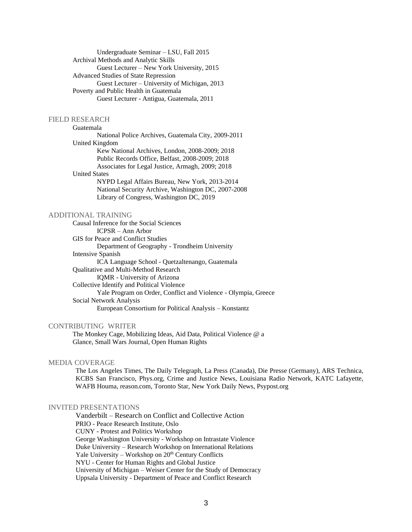Undergraduate Seminar – LSU, Fall 2015 Archival Methods and Analytic Skills Guest Lecturer – New York University, 2015 Advanced Studies of State Repression Guest Lecturer – University of Michigan, 2013 Poverty and Public Health in Guatemala Guest Lecturer - Antigua, Guatemala, 2011

#### FIELD RESEARCH

Guatemala National Police Archives, Guatemala City, 2009-2011 United Kingdom Kew National Archives, London, 2008-2009; 2018 Public Records Office, Belfast, 2008-2009; 2018 Associates for Legal Justice, Armagh, 2009; 2018 United States NYPD Legal Affairs Bureau, New York, 2013-2014 National Security Archive, Washington DC, 2007-2008

Library of Congress, Washington DC, 2019

## ADDITIONAL TRAINING

Causal Inference for the Social Sciences

ICPSR – Ann Arbor GIS for Peace and Conflict Studies Department of Geography - Trondheim University Intensive Spanish ICA Language School - Quetzaltenango, Guatemala Qualitative and Multi-Method Research IQMR - University of Arizona Collective Identify and Political Violence Yale Program on Order, Conflict and Violence - Olympia, Greece Social Network Analysis European Consortium for Political Analysis – Konstantz

## CONTRIBUTING WRITER

The Monkey Cage, Mobilizing Ideas, Aid Data, Political Violence @ a Glance, Small Wars Journal, Open Human Rights

#### MEDIA COVERAGE

The Los Angeles Times, The Daily Telegraph, La Press (Canada), Die Presse (Germany), ARS Technica, KCBS San Francisco, Phys.org, Crime and Justice News, Louisiana Radio Network, KATC Lafayette, WAFB Houma, reason.com, Toronto Star, New York Daily News, Psypost.org

## INVITED PRESENTATIONS

Vanderbilt – Research on Conflict and Collective Action PRIO - Peace Research Institute, Oslo CUNY - Protest and Politics Workshop George Washington University - Workshop on Intrastate Violence Duke University – Research Workshop on International Relations Yale University – Workshop on 20<sup>th</sup> Century Conflicts NYU - Center for Human Rights and Global Justice University of Michigan – Weiser Center for the Study of Democracy Uppsala University - Department of Peace and Conflict Research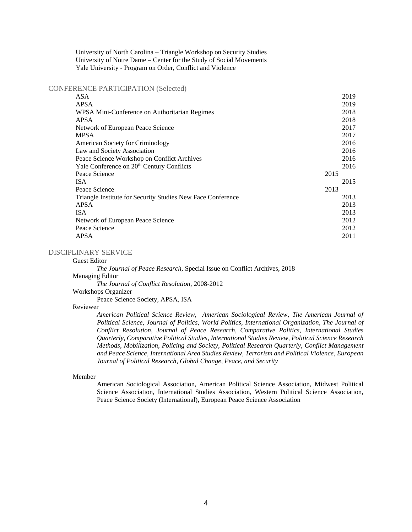University of North Carolina – Triangle Workshop on Security Studies University of Notre Dame – Center for the Study of Social Movements Yale University - Program on Order, Conflict and Violence

CONFERENCE PARTICIPATION (Selected)

| ASA           |                                                             | 2019 |
|---------------|-------------------------------------------------------------|------|
| <b>APSA</b>   |                                                             | 2019 |
|               | WPSA Mini-Conference on Authoritarian Regimes               | 2018 |
| <b>APSA</b>   |                                                             | 2018 |
|               | Network of European Peace Science                           | 2017 |
| <b>MPSA</b>   |                                                             | 2017 |
|               | <b>American Society for Criminology</b>                     | 2016 |
|               | Law and Society Association                                 | 2016 |
|               | Peace Science Workshop on Conflict Archives                 | 2016 |
|               | Yale Conference on 20 <sup>th</sup> Century Conflicts       | 2016 |
| Peace Science |                                                             | 2015 |
| <b>ISA</b>    |                                                             | 2015 |
| Peace Science |                                                             | 2013 |
|               | Triangle Institute for Security Studies New Face Conference | 2013 |
| <b>APSA</b>   |                                                             | 2013 |
| <b>ISA</b>    |                                                             | 2013 |
|               | Network of European Peace Science                           | 2012 |
| Peace Science |                                                             | 2012 |
| APSA          |                                                             | 2011 |
|               |                                                             |      |

# DISCIPLINARY SERVICE

Guest Editor

*The Journal of Peace Research*, Special Issue on Conflict Archives, 2018

Managing Editor

*The Journal of Conflict Resolution*, 2008-2012

Workshops Organizer

Peace Science Society, APSA, ISA

## Reviewer

*American Political Science Review, American Sociological Review, The American Journal of Political Science, Journal of Politics, World Politics, International Organization, The Journal of Conflict Resolution, Journal of Peace Research, Comparative Politics, International Studies Quarterly, Comparative Political Studies, International Studies Review, Political Science Research Methods, Mobilization, Policing and Society, Political Research Quarterly, Conflict Management and Peace Science, International Area Studies Review, Terrorism and Political Violence, European Journal of Political Research, Global Change, Peace, and Security*

#### Member

American Sociological Association, American Political Science Association, Midwest Political Science Association, International Studies Association, Western Political Science Association, Peace Science Society (International), European Peace Science Association